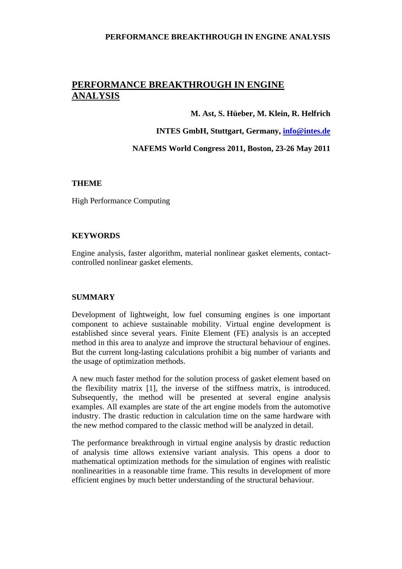# **PERFORMANCE BREAKTHROUGH IN ENGINE ANALYSIS**

#### **M. Ast, S. Hüeber, M. Klein, R. Helfrich**

 **INTES GmbH, Stuttgart, Germany, [info@intes.de](mailto:info@intes.de)**

**NAFEMS World Congress 2011, Boston, 23-26 May 2011** 

### **THEME**

High Performance Computing

### **KEYWORDS**

Engine analysis, faster algorithm, material nonlinear gasket elements, contactcontrolled nonlinear gasket elements.

# **SUMMARY**

Development of lightweight, low fuel consuming engines is one important component to achieve sustainable mobility. Virtual engine development is established since several years. Finite Element (FE) analysis is an accepted method in this area to analyze and improve the structural behaviour of engines. But the current long-lasting calculations prohibit a big number of variants and the usage of optimization methods.

A new much faster method for the solution process of gasket element based on the flexibility matrix [1], the inverse of the stiffness matrix, is introduced. Subsequently, the method will be presented at several engine analysis examples. All examples are state of the art engine models from the automotive industry. The drastic reduction in calculation time on the same hardware with the new method compared to the classic method will be analyzed in detail.

The performance breakthrough in virtual engine analysis by drastic reduction of analysis time allows extensive variant analysis. This opens a door to mathematical optimization methods for the simulation of engines with realistic nonlinearities in a reasonable time frame. This results in development of more efficient engines by much better understanding of the structural behaviour.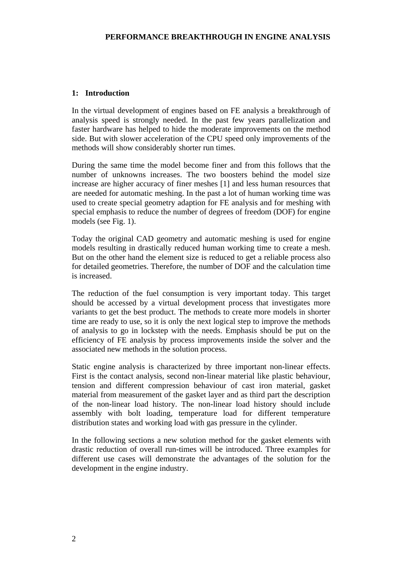# **1: Introduction**

In the virtual development of engines based on FE analysis a breakthrough of analysis speed is strongly needed. In the past few years parallelization and faster hardware has helped to hide the moderate improvements on the method side. But with slower acceleration of the CPU speed only improvements of the methods will show considerably shorter run times.

During the same time the model become finer and from this follows that the number of unknowns increases. The two boosters behind the model size increase are higher accuracy of finer meshes [1] and less human resources that are needed for automatic meshing. In the past a lot of human working time was used to create special geometry adaption for FE analysis and for meshing with special emphasis to reduce the number of degrees of freedom (DOF) for engine models (see Fig. 1).

Today the original CAD geometry and automatic meshing is used for engine models resulting in drastically reduced human working time to create a mesh. But on the other hand the element size is reduced to get a reliable process also for detailed geometries. Therefore, the number of DOF and the calculation time is increased.

The reduction of the fuel consumption is very important today. This target should be accessed by a virtual development process that investigates more variants to get the best product. The methods to create more models in shorter time are ready to use, so it is only the next logical step to improve the methods of analysis to go in lockstep with the needs. Emphasis should be put on the efficiency of FE analysis by process improvements inside the solver and the associated new methods in the solution process.

Static engine analysis is characterized by three important non-linear effects. First is the contact analysis, second non-linear material like plastic behaviour, tension and different compression behaviour of cast iron material, gasket material from measurement of the gasket layer and as third part the description of the non-linear load history. The non-linear load history should include assembly with bolt loading, temperature load for different temperature distribution states and working load with gas pressure in the cylinder.

In the following sections a new solution method for the gasket elements with drastic reduction of overall run-times will be introduced. Three examples for different use cases will demonstrate the advantages of the solution for the development in the engine industry.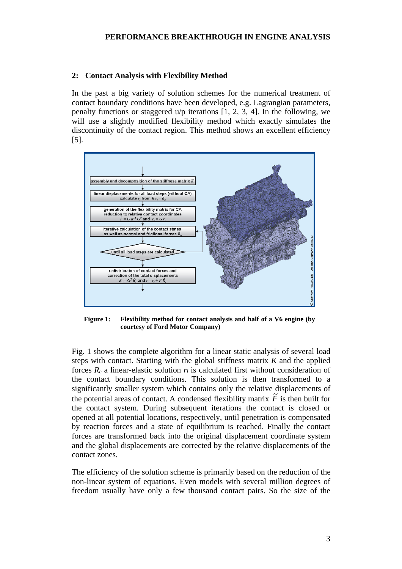### **2: Contact Analysis with Flexibility Method**

In the past a big variety of solution schemes for the numerical treatment of contact boundary conditions have been developed, e.g. Lagrangian parameters, penalty functions or staggered u/p iterations [1, 2, 3, 4]. In the following, we will use a slightly modified flexibility method which exactly simulates the discontinuity of the contact region. This method shows an excellent efficiency [5].



**Figure 1: Flexibility method for contact analysis and half of a V6 engine (by courtesy of Ford Motor Company)** 

Fig. 1 shows the complete algorithm for a linear static analysis of several load steps with contact. Starting with the global stiffness matrix *K* and the applied forces  $R_e$  a linear-elastic solution  $r_l$  is calculated first without consideration of the contact boundary conditions. This solution is then transformed to a significantly smaller system which contains only the relative displacements of the potential areas of contact. A condensed flexibility matrix  $\tilde{F}$  is then built for the contact system. During subsequent iterations the contact is closed or opened at all potential locations, respectively, until penetration is compensated by reaction forces and a state of equilibrium is reached. Finally the contact forces are transformed back into the original displacement coordinate system and the global displacements are corrected by the relative displacements of the contact zones.

The efficiency of the solution scheme is primarily based on the reduction of the non-linear system of equations. Even models with several million degrees of freedom usually have only a few thousand contact pairs. So the size of the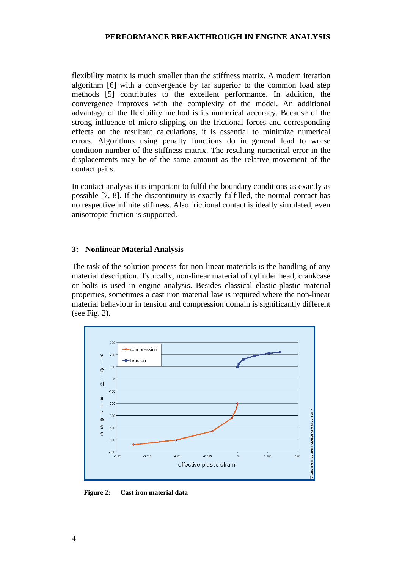flexibility matrix is much smaller than the stiffness matrix. A modern iteration algorithm [6] with a convergence by far superior to the common load step methods [5] contributes to the excellent performance. In addition, the convergence improves with the complexity of the model. An additional advantage of the flexibility method is its numerical accuracy. Because of the strong influence of micro-slipping on the frictional forces and corresponding effects on the resultant calculations, it is essential to minimize numerical errors. Algorithms using penalty functions do in general lead to worse condition number of the stiffness matrix. The resulting numerical error in the displacements may be of the same amount as the relative movement of the contact pairs.

In contact analysis it is important to fulfil the boundary conditions as exactly as possible [7, 8]. If the discontinuity is exactly fulfilled, the normal contact has no respective infinite stiffness. Also frictional contact is ideally simulated, even anisotropic friction is supported.

#### **3: Nonlinear Material Analysis**

The task of the solution process for non-linear materials is the handling of any material description. Typically, non-linear material of cylinder head, crankcase or bolts is used in engine analysis. Besides classical elastic-plastic material properties, sometimes a cast iron material law is required where the non-linear material behaviour in tension and compression domain is significantly different (see Fig. 2).



**Figure 2: Cast iron material data**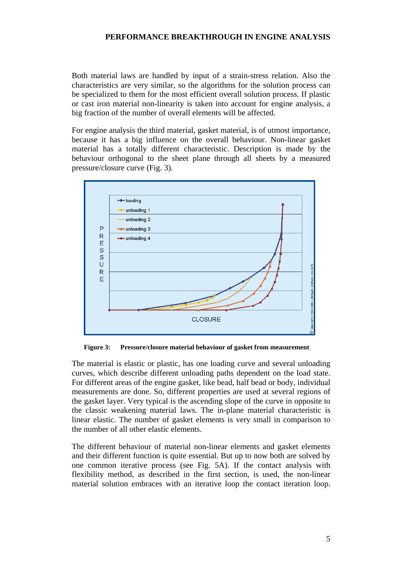Both material laws are handled by input of a strain-stress relation. Also the characteristics are very similar, so the algorithms for the solution process can be specialized to them for the most efficient overall solution process. If plastic or cast iron material non-linearity is taken into account for engine analysis, a big fraction of the number of overall elements will be affected.

For engine analysis the third material, gasket material, is of utmost importance, because it has a big influence on the overall behaviour. Non-linear gasket material has a totally different characteristic. Description is made by the behaviour orthogonal to the sheet plane through all sheets by a measured pressure/closure curve (Fig. 3).



**Figure 3: Pressure/closure material behaviour of gasket from measurement** 

The material is elastic or plastic, has one loading curve and several unloading curves, which describe different unloading paths dependent on the load state. For different areas of the engine gasket, like bead, half bead or body, individual measurements are done. So, different properties are used at several regions of the gasket layer. Very typical is the ascending slope of the curve in opposite to the classic weakening material laws. The in-plane material characteristic is linear elastic. The number of gasket elements is very small in comparison to the number of all other elastic elements.

The different behaviour of material non-linear elements and gasket elements and their different function is quite essential. But up to now both are solved by one common iterative process (see Fig. 5A). If the contact analysis with flexibility method, as described in the first section, is used, the non-linear material solution embraces with an iterative loop the contact iteration loop.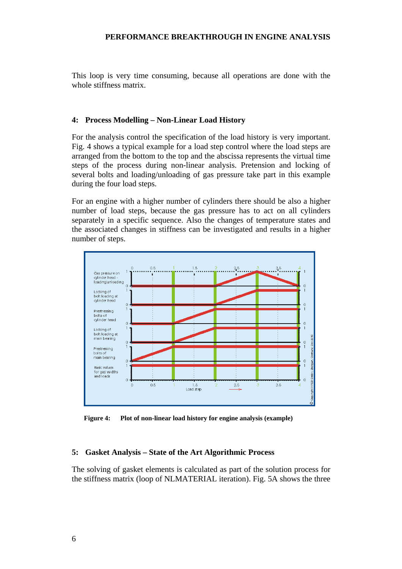This loop is very time consuming, because all operations are done with the whole stiffness matrix.

### **4: Process Modelling – Non-Linear Load History**

For the analysis control the specification of the load history is very important. Fig. 4 shows a typical example for a load step control where the load steps are arranged from the bottom to the top and the abscissa represents the virtual time steps of the process during non-linear analysis. Pretension and locking of several bolts and loading/unloading of gas pressure take part in this example during the four load steps.

For an engine with a higher number of cylinders there should be also a higher number of load steps, because the gas pressure has to act on all cylinders separately in a specific sequence. Also the changes of temperature states and the associated changes in stiffness can be investigated and results in a higher number of steps.



**Figure 4: Plot of non-linear load history for engine analysis (example)** 

#### **5: Gasket Analysis – State of the Art Algorithmic Process**

The solving of gasket elements is calculated as part of the solution process for the stiffness matrix (loop of NLMATERIAL iteration). Fig. 5A shows the three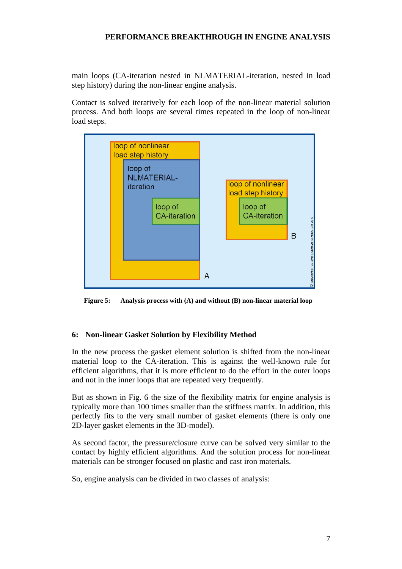main loops (CA-iteration nested in NLMATERIAL-iteration, nested in load step history) during the non-linear engine analysis.

Contact is solved iteratively for each loop of the non-linear material solution process. And both loops are several times repeated in the loop of non-linear load steps.



**Figure 5: Analysis process with (A) and without (B) non-linear material loop** 

# **6: Non-linear Gasket Solution by Flexibility Method**

In the new process the gasket element solution is shifted from the non-linear material loop to the CA-iteration. This is against the well-known rule for efficient algorithms, that it is more efficient to do the effort in the outer loops and not in the inner loops that are repeated very frequently.

But as shown in Fig. 6 the size of the flexibility matrix for engine analysis is typically more than 100 times smaller than the stiffness matrix. In addition, this perfectly fits to the very small number of gasket elements (there is only one 2D-layer gasket elements in the 3D-model).

As second factor, the pressure/closure curve can be solved very similar to the contact by highly efficient algorithms. And the solution process for non-linear materials can be stronger focused on plastic and cast iron materials.

So, engine analysis can be divided in two classes of analysis: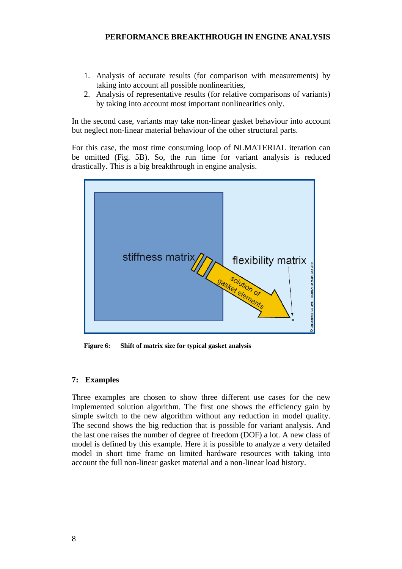- 1. Analysis of accurate results (for comparison with measurements) by taking into account all possible nonlinearities,
- 2. Analysis of representative results (for relative comparisons of variants) by taking into account most important nonlinearities only.

In the second case, variants may take non-linear gasket behaviour into account but neglect non-linear material behaviour of the other structural parts.

For this case, the most time consuming loop of NLMATERIAL iteration can be omitted (Fig. 5B). So, the run time for variant analysis is reduced drastically. This is a big breakthrough in engine analysis.



**Figure 6: Shift of matrix size for typical gasket analysis** 

# **7: Examples**

Three examples are chosen to show three different use cases for the new implemented solution algorithm. The first one shows the efficiency gain by simple switch to the new algorithm without any reduction in model quality. The second shows the big reduction that is possible for variant analysis. And the last one raises the number of degree of freedom (DOF) a lot. A new class of model is defined by this example. Here it is possible to analyze a very detailed model in short time frame on limited hardware resources with taking into account the full non-linear gasket material and a non-linear load history.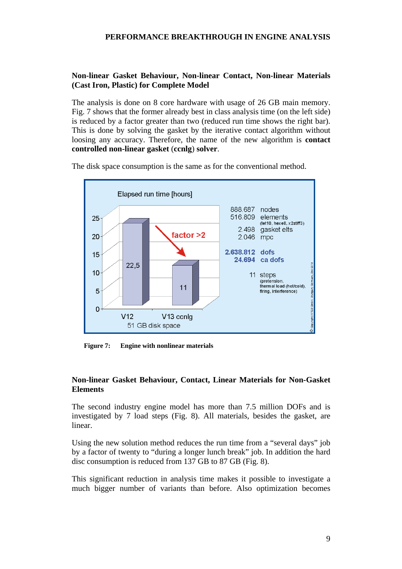# **Non-linear Gasket Behaviour, Non-linear Contact, Non-linear Materials (Cast Iron, Plastic) for Complete Model**

The analysis is done on 8 core hardware with usage of 26 GB main memory. Fig. 7 shows that the former already best in class analysis time (on the left side) is reduced by a factor greater than two (reduced run time shows the right bar). This is done by solving the gasket by the iterative contact algorithm without loosing any accuracy. Therefore, the name of the new algorithm is **contact controlled non-linear gasket** (**ccnlg**) **solver**.



The disk space consumption is the same as for the conventional method.

**Figure 7: Engine with nonlinear materials** 

# **Non-linear Gasket Behaviour, Contact, Linear Materials for Non-Gasket Elements**

The second industry engine model has more than 7.5 million DOFs and is investigated by 7 load steps (Fig. 8). All materials, besides the gasket, are linear.

Using the new solution method reduces the run time from a "several days" job by a factor of twenty to "during a longer lunch break" job. In addition the hard disc consumption is reduced from 137 GB to 87 GB (Fig. 8).

This significant reduction in analysis time makes it possible to investigate a much bigger number of variants than before. Also optimization becomes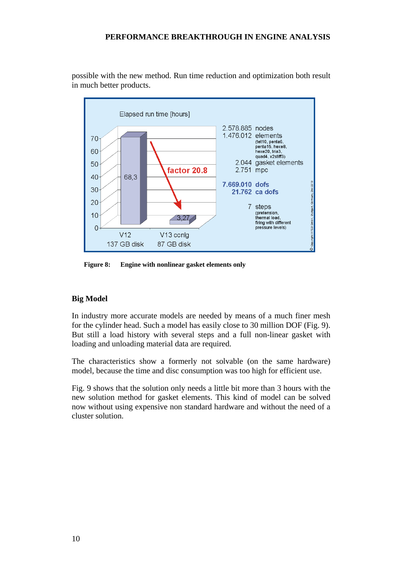

possible with the new method. Run time reduction and optimization both result in much better products.

**Figure 8: Engine with nonlinear gasket elements only** 

# **Big Model**

In industry more accurate models are needed by means of a much finer mesh for the cylinder head. Such a model has easily close to 30 million DOF (Fig. 9). But still a load history with several steps and a full non-linear gasket with loading and unloading material data are required.

The characteristics show a formerly not solvable (on the same hardware) model, because the time and disc consumption was too high for efficient use.

Fig. 9 shows that the solution only needs a little bit more than 3 hours with the new solution method for gasket elements. This kind of model can be solved now without using expensive non standard hardware and without the need of a cluster solution.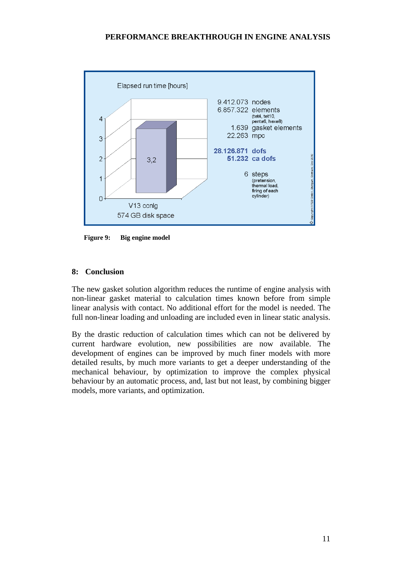

**Figure 9: Big engine model** 

# **8: Conclusion**

The new gasket solution algorithm reduces the runtime of engine analysis with non-linear gasket material to calculation times known before from simple linear analysis with contact. No additional effort for the model is needed. The full non-linear loading and unloading are included even in linear static analysis.

By the drastic reduction of calculation times which can not be delivered by current hardware evolution, new possibilities are now available. The development of engines can be improved by much finer models with more detailed results, by much more variants to get a deeper understanding of the mechanical behaviour, by optimization to improve the complex physical behaviour by an automatic process, and, last but not least, by combining bigger models, more variants, and optimization.